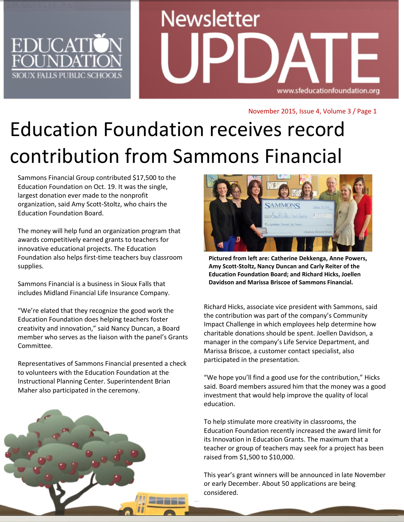

# **Newsletter** www.sfeducationfoundation.org

November 2015, Issue 4, Volume 3 / Page 1

# Education Foundation receives record contribution from Sammons Financial

Sammons Financial Group contributed \$17,500 to the Education Foundation on Oct. 19. It was the single, largest donation ever made to the nonprofit organization, said Amy Scott-Stoltz, who chairs the Education Foundation Board.

The money will help fund an organization program that awards competitively earned grants to teachers for innovative educational projects. The Education Foundation also helps first-time teachers buy classroom supplies.

Sammons Financial is a business in Sioux Falls that includes Midland Financial Life Insurance Company.

"We're elated that they recognize the good work the Education Foundation does helping teachers foster creativity and innovation," said Nancy Duncan, a Board member who serves as the liaison with the panel's Grants Committee.

Representatives of Sammons Financial presented a check to volunteers with the Education Foundation at the Instructional Planning Center. Superintendent Brian Maher also participated in the ceremony.





**Education Foundation Board; and Richard Hicks, Joellen Pictured from left are: Catherine Dekkenga, Anne Powers, Amy Scott-Stoltz, Nancy Duncan and Carly Reiter of the Davidson and Marissa Briscoe of Sammons Financial.**

Richard Hicks, associate vice president with Sammons, said the contribution was part of the company's Community Impact Challenge in which employees help determine how charitable donations should be spent. Joellen Davidson, a manager in the company's Life Service Department, and Marissa Briscoe, a customer contact specialist, also participated in the presentation.

"We hope you'll find a good use for the contribution," Hicks said. Board members assured him that the money was a good investment that would help improve the quality of local education.

To help stimulate more creativity in classrooms, the Education Foundation recently increased the award limit for its Innovation in Education Grants. The maximum that a teacher or group of teachers may seek for a project has been raised from \$1,500 to \$10,000.

This year's grant winners will be announced in late November or early December. About 50 applications are being considered.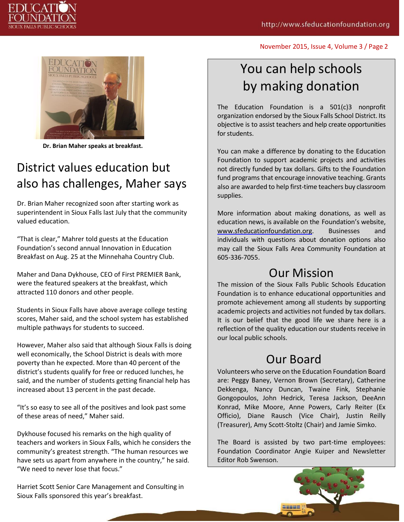November 2015, Issue 4, Volume 3 / Page 2



**Dr. Brian Maher speaks at breakfast.**

#### District values education but also has challenges, Maher says

Dr. Brian Maher recognized soon after starting work as superintendent in Sioux Falls last July that the community valued education.

"That is clear," Mahrer told guests at the Education Foundation's second annual Innovation in Education Breakfast on Aug. 25 at the Minnehaha Country Club.

Maher and Dana Dykhouse, CEO of First PREMIER Bank, were the featured speakers at the breakfast, which attracted 110 donors and other people.

Students in Sioux Falls have above average college testing scores, Maher said, and the school system has established multiple pathways for students to succeed.

However, Maher also said that although Sioux Falls is doing well economically, the School District is deals with more poverty than he expected. More than 40 percent of the district's students qualify for free or reduced lunches, he said, and the number of students getting financial help has increased about 13 percent in the past decade.

"It's so easy to see all of the positives and look past some of these areas of need," Maher said.

Dykhouse focused his remarks on the high quality of teachers and workers in Sioux Falls, which he considers the community's greatest strength. "The human resources we have sets us apart from anywhere in the country," he said. "We need to never lose that focus."

Harriet Scott Senior Care Management and Consulting in Sioux Falls sponsored this year's breakfast.

### You can help schools by making donation

The Education Foundation is a 501(c)3 nonprofit organization endorsed by the Sioux Falls School District. Its objective is to assist teachers and help create opportunities for students.

You can make a difference by donating to the Education Foundation to support academic projects and activities not directly funded by tax dollars. Gifts to the Foundation fund programs that encourage innovative teaching. Grants also are awarded to help first-time teachers buy classroom supplies.

More information about making donations, as well as education news, is available on the Foundation's website, [www.sfeducationfoundation.org.](http://www.sfeducationfoundation.org/) Businesses and individuals with questions about donation options also may call the Sioux Falls Area Community Foundation at 605-336-7055.

#### Our Mission

The mission of the Sioux Falls Public Schools Education Foundation is to enhance educational opportunities and promote achievement among all students by supporting academic projects and activities not funded by tax dollars. It is our belief that the good life we share here is a reflection of the quality education our students receive in our local public schools.

#### Our Board

Volunteers who serve on the Education Foundation Board are: Peggy Baney, Vernon Brown (Secretary), Catherine Dekkenga, Nancy Duncan, Twaine Fink, Stephanie Gongopoulos, John Hedrick, Teresa Jackson, DeeAnn Konrad, Mike Moore, Anne Powers, Carly Reiter (Ex Officio), Diane Rausch (Vice Chair), Justin Reilly (Treasurer), Amy Scott-Stoltz (Chair) and Jamie Simko.

The Board is assisted by two part-time employees: Foundation Coordinator Angie Kuiper and Newsletter Editor Rob Swenson.

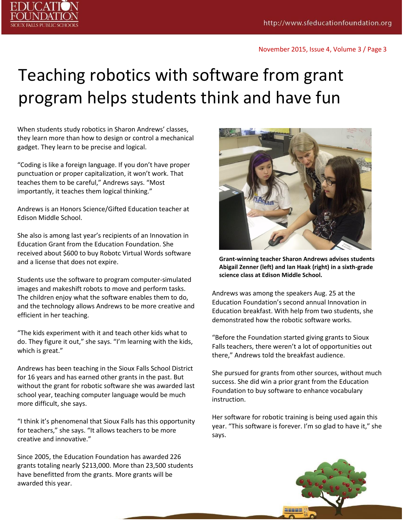

# Teaching robotics with software from grant program helps students think and have fun

When students study robotics in Sharon Andrews' classes, they learn more than how to design or control a mechanical gadget. They learn to be precise and logical.

"Coding is like a foreign language. If you don't have proper punctuation or proper capitalization, it won't work. That teaches them to be careful," Andrews says. "Most importantly, it teaches them logical thinking."

Andrews is an Honors Science/Gifted Education teacher at Edison Middle School.

She also is among last year's recipients of an Innovation in Education Grant from the Education Foundation. She received about \$600 to buy Robotc Virtual Words software and a license that does not expire.

Students use the software to program computer-simulated images and makeshift robots to move and perform tasks. The children enjoy what the software enables them to do, and the technology allows Andrews to be more creative and efficient in her teaching.

"The kids experiment with it and teach other kids what to do. They figure it out," she says. "I'm learning with the kids, which is great."

Andrews has been teaching in the Sioux Falls School District for 16 years and has earned other grants in the past. But without the grant for robotic software she was awarded last school year, teaching computer language would be much more difficult, she says.

"I think it's phenomenal that Sioux Falls has this opportunity for teachers," she says. "It allows teachers to be more creative and innovative."

Since 2005, the Education Foundation has awarded 226 grants totaling nearly \$213,000. More than 23,500 students have benefitted from the grants. More grants will be awarded this year.



**Grant-winning teacher Sharon Andrews advises students Abigail Zenner (left) and Ian Haak (right) in a sixth-grade science class at Edison Middle School.**

Andrews was among the speakers Aug. 25 at the Education Foundation's second annual Innovation in Education breakfast. With help from two students, she demonstrated how the robotic software works.

"Before the Foundation started giving grants to Sioux Falls teachers, there weren't a lot of opportunities out there," Andrews told the breakfast audience.

She pursued for grants from other sources, without much success. She did win a prior grant from the Education Foundation to buy software to enhance vocabulary instruction.

Her software for robotic training is being used again this year. "This software is forever. I'm so glad to have it," she says.

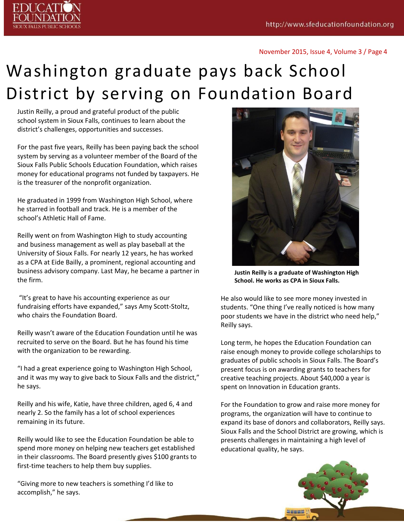

#### November 2015, Issue 4, Volume 3 / Page 4

# Washington graduate pays back School District by serving on Foundation Board

Justin Reilly, a proud and grateful product of the public school system in Sioux Falls, continues to learn about the district's challenges, opportunities and successes.

For the past five years, Reilly has been paying back the school system by serving as a volunteer member of the Board of the Sioux Falls Public Schools Education Foundation, which raises money for educational programs not funded by taxpayers. He is the treasurer of the nonprofit organization.

He graduated in 1999 from Washington High School, where he starred in football and track. He is a member of the school's Athletic Hall of Fame.

Reilly went on from Washington High to study accounting and business management as well as play baseball at the University of Sioux Falls. For nearly 12 years, he has worked as a CPA at Eide Bailly, a prominent, regional accounting and business advisory company. Last May, he became a partner in the firm.

"It's great to have his accounting experience as our fundraising efforts have expanded," says Amy Scott-Stoltz, who chairs the Foundation Board.

Reilly wasn't aware of the Education Foundation until he was recruited to serve on the Board. But he has found his time with the organization to be rewarding.

"I had a great experience going to Washington High School, and it was my way to give back to Sioux Falls and the district," he says.

Reilly and his wife, Katie, have three children, aged 6, 4 and nearly 2. So the family has a lot of school experiences remaining in its future.

Reilly would like to see the Education Foundation be able to spend more money on helping new teachers get established in their classrooms. The Board presently gives \$100 grants to first-time teachers to help them buy supplies.

"Giving more to new teachers is something I'd like to accomplish," he says.



**Justin Reilly is a graduate of Washington High School. He works as CPA in Sioux Falls.**

He also would like to see more money invested in students. "One thing I've really noticed is how many poor students we have in the district who need help," Reilly says.

Long term, he hopes the Education Foundation can raise enough money to provide college scholarships to graduates of public schools in Sioux Falls. The Board's present focus is on awarding grants to teachers for creative teaching projects. About \$40,000 a year is spent on Innovation in Education grants.

For the Foundation to grow and raise more money for programs, the organization will have to continue to expand its base of donors and collaborators, Reilly says. Sioux Falls and the School District are growing, which is presents challenges in maintaining a high level of educational quality, he says.